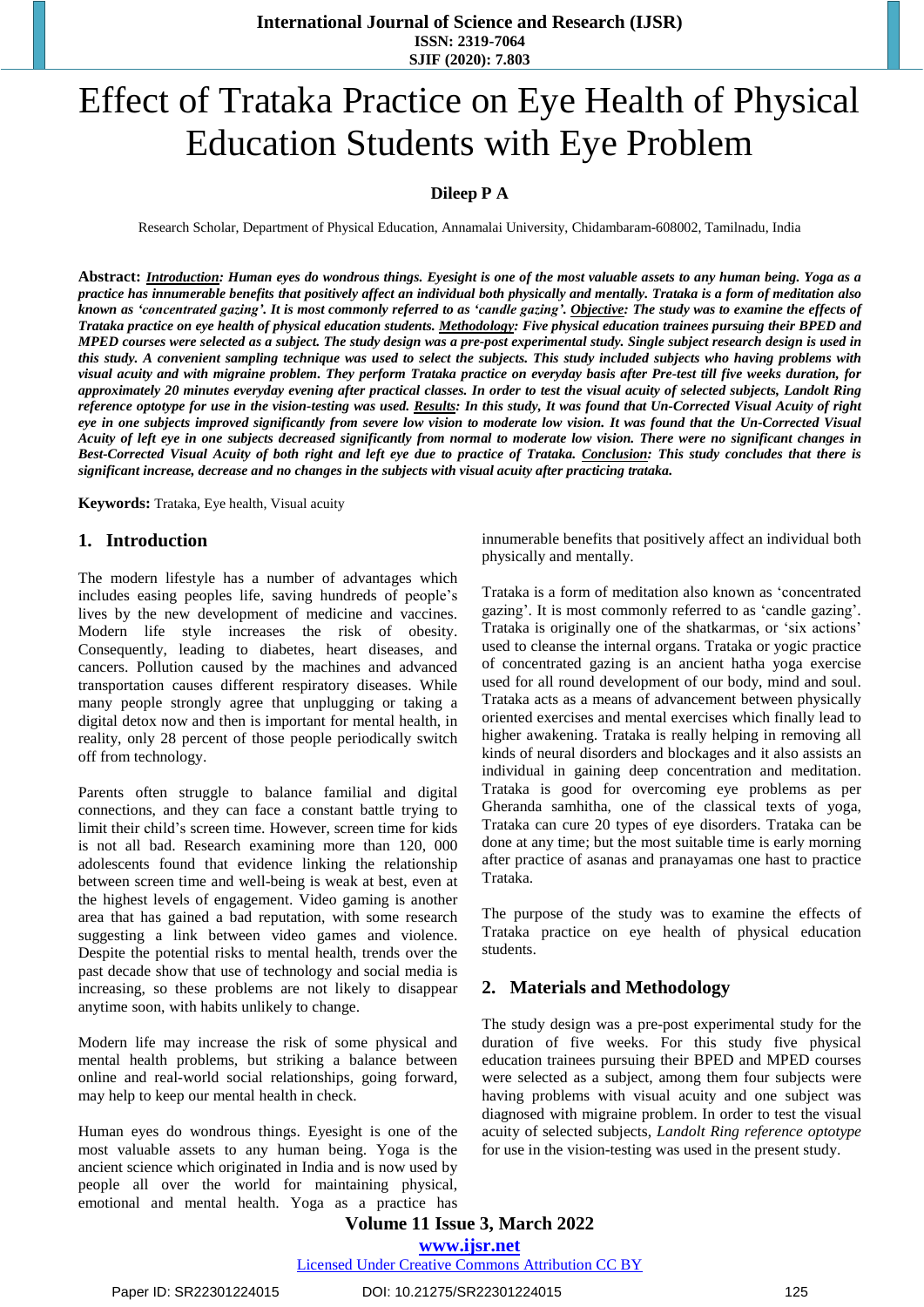**International Journal of Science and Research (IJSR) ISSN: 2319-7064 SJIF (2020): 7.803**

# Effect of Trataka Practice on Eye Health of Physical Education Students with Eye Problem

# **Dileep P A**

Research Scholar, Department of Physical Education, Annamalai University, Chidambaram-608002, Tamilnadu, India

Abstract: Introduction: Human eyes do wondrous things. Eyesight is one of the most valuable assets to any human being. Yoga as a practice has innumerable benefits that positively affect an individual both physically and mentally. Trataka is a form of meditation also known as 'concentrated gazing'. It is most commonly referred to as 'candle gazing'. Objective: The study was to examine the effects of Trataka practice on eye health of physical education students. Methodology: Five physical education trainees pursuing their BPED and MPED courses were selected as a subject. The study design was a pre-post experimental study. Single subject research design is used in this study. A convenient sampling technique was used to select the subjects. This study included subjects who having problems with visual acuity and with migraine problem. They perform Trataka practice on everyday basis after Pre-test till five weeks duration, for approximately 20 minutes everyday evening after practical classes. In order to test the visual acuity of selected subjects, Landolt Ring reference optotype for use in the vision-testing was used. Results: In this study, It was found that Un-Corrected Visual Acuity of right eve in one subjects improved significantly from severe low vision to moderate low vision. It was found that the Un-Corrected Visual Acuity of left eye in one subjects decreased significantly from normal to moderate low vision. There were no significant changes in Best-Corrected Visual Acuity of both right and left eye due to practice of Trataka. Conclusion: This study concludes that there is *significant increase, decrease and no changes in the subjects with visual acuity after practicing trataka.* 

**Keywords:** Trataka, Eye health, Visual acuity

## **1. Introduction**

The modern lifestyle has a number of advantages which includes easing peoples life, saving hundreds of people's lives by the new development of medicine and vaccines. Modern life style increases the risk of obesity. Consequently, leading to diabetes, heart diseases, and cancers. Pollution caused by the machines and advanced transportation causes different respiratory diseases. While many people strongly agree that unplugging or taking a digital detox now and then is important for mental health, in reality, only 28 percent of those people periodically switch off from technology.

Parents often struggle to balance familial and digital connections, and they can face a constant battle trying to limit their child's screen time. However, screen time for kids is not all bad. Research examining more than 120, 000 adolescents found that evidence linking the relationship between screen time and well-being is weak at best, even at the highest levels of engagement. Video gaming is another area that has gained a bad reputation, with some research suggesting a link between video games and violence. Despite the potential risks to mental health, trends over the past decade show that use of technology and social media is increasing, so these problems are not likely to disappear anytime soon, with habits unlikely to change.

Modern life may increase the risk of some physical and mental health problems, but striking a balance between online and real-world social relationships, going forward, may help to keep our mental health in check.

Human eyes do wondrous things. Eyesight is one of the most valuable assets to any human being. Yoga is the ancient science which originated in India and is now used by people all over the world for maintaining physical, emotional and mental health. Yoga as a practice has innumerable benefits that positively affect an individual both physically and mentally.

Trataka is a form of meditation also known as 'concentrated gazing'. It is most commonly referred to as 'candle gazing'. Trataka is originally one of the shatkarmas, or 'six actions' used to cleanse the internal organs. Trataka or yogic practice of concentrated gazing is an ancient hatha yoga exercise used for all round development of our body, mind and soul. Trataka acts as a means of advancement between physically oriented exercises and mental exercises which finally lead to higher awakening. Trataka is really helping in removing all kinds of neural disorders and blockages and it also assists an individual in gaining deep concentration and meditation. Trataka is good for overcoming eye problems as per Gheranda samhitha, one of the classical texts of yoga, Trataka can cure 20 types of eye disorders. Trataka can be done at any time; but the most suitable time is early morning after practice of asanas and pranayamas one hast to practice Trataka.

The purpose of the study was to examine the effects of Trataka practice on eye health of physical education students.

## **2. Materials and Methodology**

The study design was a pre-post experimental study for the duration of five weeks. For this study five physical education trainees pursuing their BPED and MPED courses were selected as a subject, among them four subjects were having problems with visual acuity and one subject was diagnosed with migraine problem. In order to test the visual acuity of selected subjects, *Landolt Ring reference optotype* for use in the vision-testing was used in the present study.

**Volume 11 Issue 3, March 2022**

**www.ijsr.net**

Licensed Under Creative Commons Attribution CC BY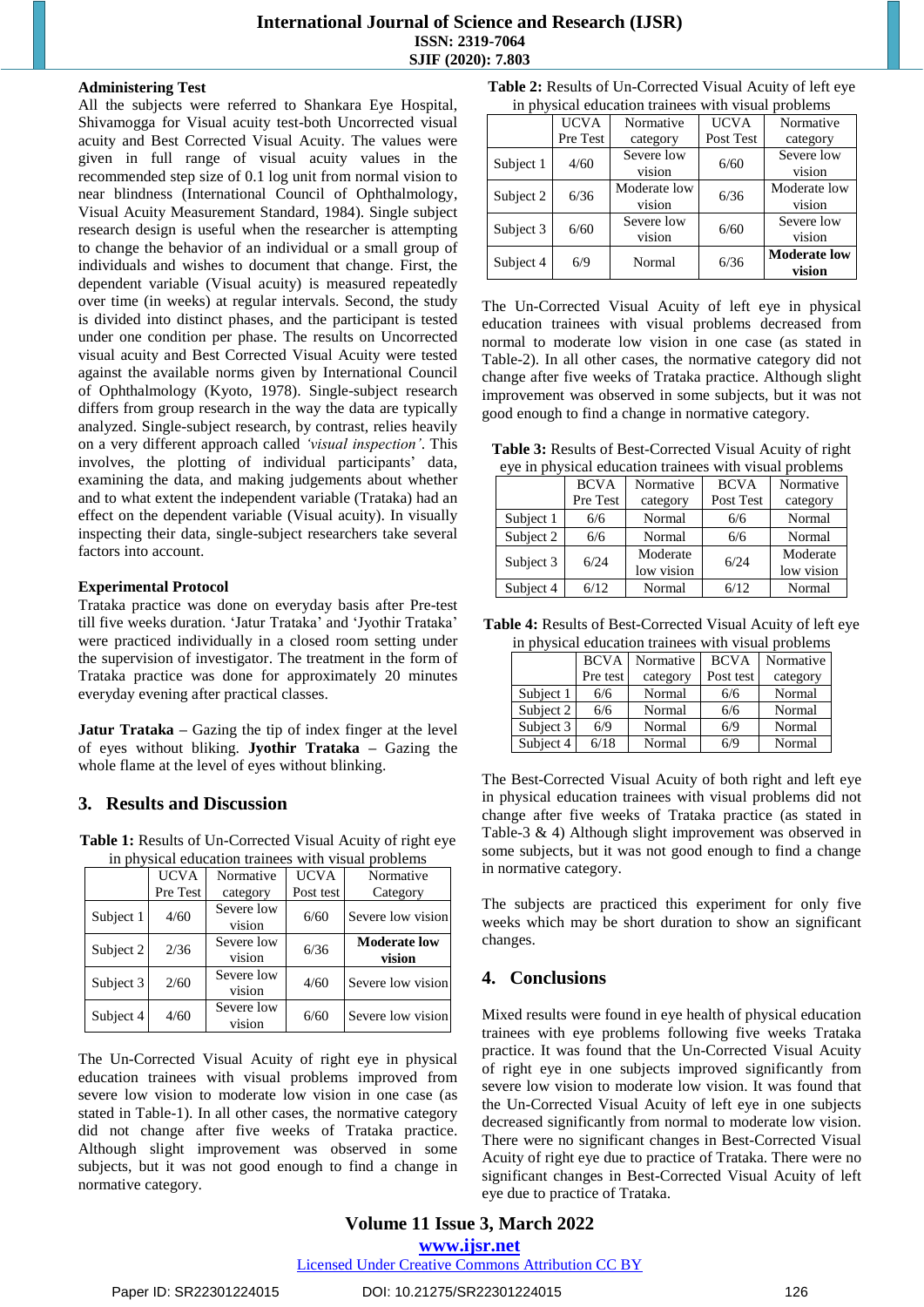# **International Journal of Science and Research (IJSR) ISSN: 2319-7064 SJIF (2020): 7.803**

#### **Administering Test**

All the subjects were referred to Shankara Eye Hospital, Shivamogga for Visual acuity test-both Uncorrected visual acuity and Best Corrected Visual Acuity. The values were given in full range of visual acuity values in the recommended step size of 0.1 log unit from normal vision to near blindness (International Council of Ophthalmology, Visual Acuity Measurement Standard, 1984). Single subject research design is useful when the researcher is attempting to change the behavior of an individual or a small group of individuals and wishes to document that change. First, the dependent variable (Visual acuity) is measured repeatedly over time (in weeks) at regular intervals. Second, the study is divided into distinct phases, and the participant is tested under one condition per phase. The results on Uncorrected visual acuity and Best Corrected Visual Acuity were tested against the available norms given by International Council of Ophthalmology (Kyoto, 1978). Single-subject research differs from group research in the way the data are typically analyzed. Single-subject research, by contrast, relies heavily on a very different approach called *'visual inspection'*. This involves, the plotting of individual participants' data, examining the data, and making judgements about whether and to what extent the independent variable (Trataka) had an effect on the dependent variable (Visual acuity). In visually inspecting their data, single-subject researchers take several factors into account.

## **Experimental Protocol**

Trataka practice was done on everyday basis after Pre-test till five weeks duration. 'Jatur Trataka' and 'Jyothir Trataka' were practiced individually in a closed room setting under the supervision of investigator. The treatment in the form of Trataka practice was done for approximately 20 minutes everyday evening after practical classes.

**Jatur Trataka –** Gazing the tip of index finger at the level of eyes without bliking. **Jyothir Trataka –** Gazing the whole flame at the level of eyes without blinking.

# **3. Results and Discussion**

**Table 1:** Results of Un-Corrected Visual Acuity of right eye in physical education trainees with visual problems

|           | <b>UCVA</b> | Normative            | <b>UCVA</b> | Normative                     |
|-----------|-------------|----------------------|-------------|-------------------------------|
|           | Pre Test    | category             | Post test   | Category                      |
| Subject 1 | 4/60        | Severe low<br>vision | 6/60        | Severe low vision             |
| Subject 2 | 2/36        | Severe low<br>vision | 6/36        | <b>Moderate low</b><br>vision |
| Subject 3 | 2/60        | Severe low<br>vision | 4/60        | Severe low vision             |
| Subject 4 | 4/60        | Severe low<br>vision | 6/60        | Severe low vision             |

The Un-Corrected Visual Acuity of right eye in physical education trainees with visual problems improved from severe low vision to moderate low vision in one case (as stated in Table-1). In all other cases, the normative category did not change after five weeks of Trataka practice. Although slight improvement was observed in some subjects, but it was not good enough to find a change in normative category.

|  |  |  |  |  |  | Table 2: Results of Un-Corrected Visual Acuity of left eye |
|--|--|--|--|--|--|------------------------------------------------------------|
|  |  |  |  |  |  |                                                            |

| in physical education trainees with visual problems |             |              |             |                     |  |  |
|-----------------------------------------------------|-------------|--------------|-------------|---------------------|--|--|
|                                                     | <b>UCVA</b> | Normative    | <b>UCVA</b> | Normative           |  |  |
|                                                     | Pre Test    | category     | Post Test   | category            |  |  |
| Subject 1                                           | 4/60        | Severe low   | 6/60        | Severe low          |  |  |
|                                                     |             | vision       |             | vision              |  |  |
| Subject 2                                           | 6/36        | Moderate low | 6/36        | Moderate low        |  |  |
|                                                     |             | vision       |             | vision              |  |  |
|                                                     | 6/60        | Severe low   | 6/60        | Severe low          |  |  |
| Subject 3                                           |             | vision       |             | vision              |  |  |
| Subject 4                                           | 6/9         | Normal       | 6/36        | <b>Moderate low</b> |  |  |
|                                                     |             |              |             | vision              |  |  |

The Un-Corrected Visual Acuity of left eye in physical education trainees with visual problems decreased from normal to moderate low vision in one case (as stated in Table-2). In all other cases, the normative category did not change after five weeks of Trataka practice. Although slight improvement was observed in some subjects, but it was not good enough to find a change in normative category.

| <b>Table 3:</b> Results of Best-Corrected Visual Acuity of right |
|------------------------------------------------------------------|
| eye in physical education trainees with visual problems          |

|           | <b>BCVA</b> | Normative              | <b>BCVA</b> | Normative              |
|-----------|-------------|------------------------|-------------|------------------------|
|           | Pre Test    | Post Test<br>category  |             | category               |
| Subject 1 | 6/6         | Normal                 | 6/6         | Normal                 |
| Subject 2 | 6/6         | Normal                 | 6/6         | Normal                 |
| Subject 3 | 6/24        | Moderate<br>low vision | 6/24        | Moderate<br>low vision |
| Subject 4 | 6/12        | Normal                 | 6/12        | Normal                 |

**Table 4:** Results of Best-Corrected Visual Acuity of left eye in physical education trainees with visual problems

|           | <b>BCVA</b> | Normative | <b>BCVA</b> | Normative |
|-----------|-------------|-----------|-------------|-----------|
|           | Pre test    | category  | Post test   | category  |
| Subject 1 | 6/6         | Normal    | 6/6         | Normal    |
| Subject 2 | 6/6         | Normal    | 6/6         | Normal    |
| Subject 3 | 6/9         | Normal    | 6/9         | Normal    |
| Subject 4 | 6/18        | Normal    | 6/9         | Normal    |

The Best-Corrected Visual Acuity of both right and left eye in physical education trainees with visual problems did not change after five weeks of Trataka practice (as stated in Table-3 & 4) Although slight improvement was observed in some subjects, but it was not good enough to find a change in normative category.

The subjects are practiced this experiment for only five weeks which may be short duration to show an significant changes.

# **4. Conclusions**

Mixed results were found in eye health of physical education trainees with eye problems following five weeks Trataka practice. It was found that the Un-Corrected Visual Acuity of right eye in one subjects improved significantly from severe low vision to moderate low vision. It was found that the Un-Corrected Visual Acuity of left eye in one subjects decreased significantly from normal to moderate low vision. There were no significant changes in Best-Corrected Visual Acuity of right eye due to practice of Trataka. There were no significant changes in Best-Corrected Visual Acuity of left eye due to practice of Trataka.

**Volume 11 Issue 3, March 2022 www.ijsr.net**

Licensed Under Creative Commons Attribution CC BY